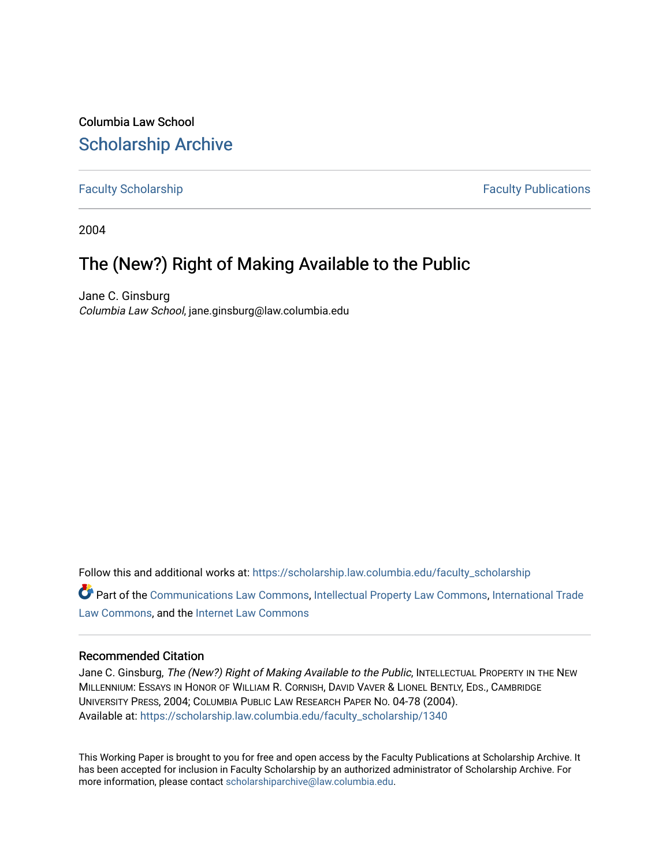# Columbia Law School [Scholarship Archive](https://scholarship.law.columbia.edu/)

[Faculty Scholarship](https://scholarship.law.columbia.edu/faculty_scholarship) **Faculty Scholarship Faculty Publications** 

2004

# The (New?) Right of Making Available to the Public

Jane C. Ginsburg Columbia Law School, jane.ginsburg@law.columbia.edu

Follow this and additional works at: [https://scholarship.law.columbia.edu/faculty\\_scholarship](https://scholarship.law.columbia.edu/faculty_scholarship?utm_source=scholarship.law.columbia.edu%2Ffaculty_scholarship%2F1340&utm_medium=PDF&utm_campaign=PDFCoverPages) Part of the [Communications Law Commons,](http://network.bepress.com/hgg/discipline/587?utm_source=scholarship.law.columbia.edu%2Ffaculty_scholarship%2F1340&utm_medium=PDF&utm_campaign=PDFCoverPages) [Intellectual Property Law Commons,](http://network.bepress.com/hgg/discipline/896?utm_source=scholarship.law.columbia.edu%2Ffaculty_scholarship%2F1340&utm_medium=PDF&utm_campaign=PDFCoverPages) International Trade [Law Commons,](http://network.bepress.com/hgg/discipline/848?utm_source=scholarship.law.columbia.edu%2Ffaculty_scholarship%2F1340&utm_medium=PDF&utm_campaign=PDFCoverPages) and the [Internet Law Commons](http://network.bepress.com/hgg/discipline/892?utm_source=scholarship.law.columbia.edu%2Ffaculty_scholarship%2F1340&utm_medium=PDF&utm_campaign=PDFCoverPages) 

#### Recommended Citation

Jane C. Ginsburg, The (New?) Right of Making Available to the Public, INTELLECTUAL PROPERTY IN THE NEW MILLENNIUM: ESSAYS IN HONOR OF WILLIAM R. CORNISH, DAVID VAVER & LIONEL BENTLY, EDS., CAMBRIDGE UNIVERSITY PRESS, 2004; COLUMBIA PUBLIC LAW RESEARCH PAPER NO. 04-78 (2004). Available at: [https://scholarship.law.columbia.edu/faculty\\_scholarship/1340](https://scholarship.law.columbia.edu/faculty_scholarship/1340?utm_source=scholarship.law.columbia.edu%2Ffaculty_scholarship%2F1340&utm_medium=PDF&utm_campaign=PDFCoverPages)

This Working Paper is brought to you for free and open access by the Faculty Publications at Scholarship Archive. It has been accepted for inclusion in Faculty Scholarship by an authorized administrator of Scholarship Archive. For more information, please contact [scholarshiparchive@law.columbia.edu.](mailto:scholarshiparchive@law.columbia.edu)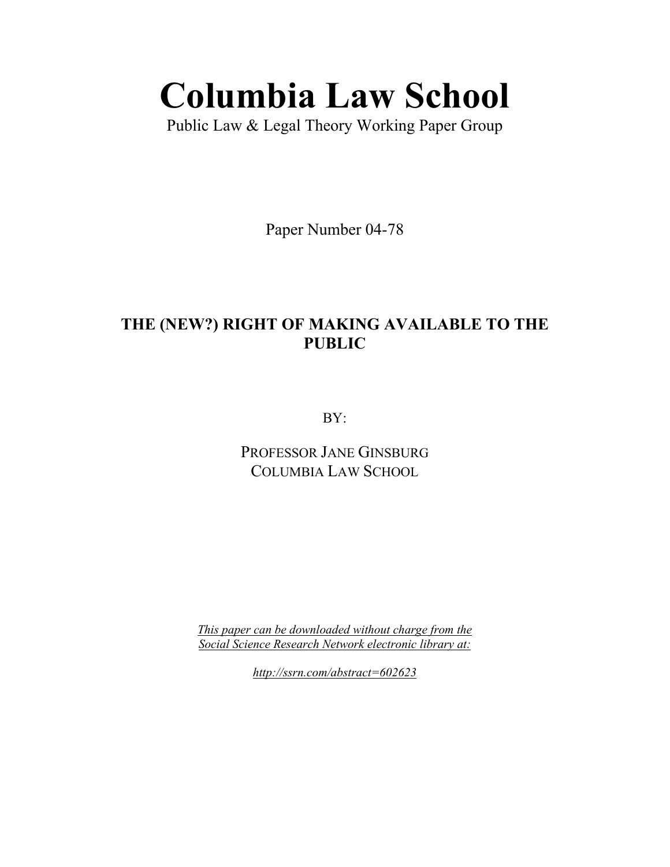# **Columbia Law School**

Public Law & Legal Theory Working Paper Group

Paper Number 04-78

# **THE (NEW?) RIGHT OF MAKING AVAILABLE TO THE PUBLIC**

BY:

PROFESSOR JANE GINSBURG COLUMBIA LAW SCHOOL

*This paper can be downloaded without charge from the Social Science Research Network electronic library at:*

*http://ssrn.com/abstract=602623*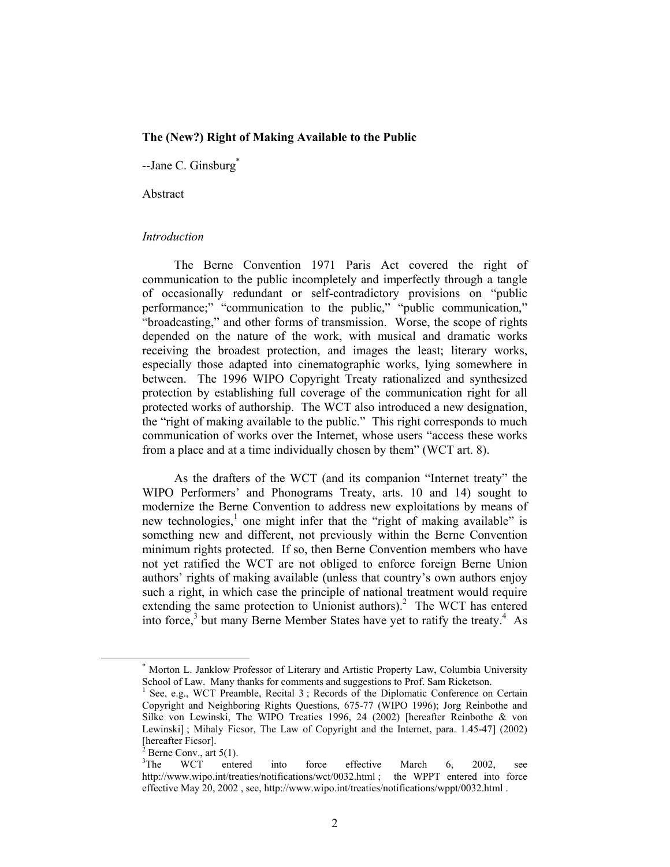#### **The (New?) Right of Making Available to the Public**

--Jane C. Ginsburg<sup>\*</sup>

Abstract

#### *Introduction*

 The Berne Convention 1971 Paris Act covered the right of communication to the public incompletely and imperfectly through a tangle of occasionally redundant or self-contradictory provisions on "public performance;" "communication to the public," "public communication," "broadcasting," and other forms of transmission. Worse, the scope of rights depended on the nature of the work, with musical and dramatic works receiving the broadest protection, and images the least; literary works, especially those adapted into cinematographic works, lying somewhere in between. The 1996 WIPO Copyright Treaty rationalized and synthesized protection by establishing full coverage of the communication right for all protected works of authorship. The WCT also introduced a new designation, the "right of making available to the public." This right corresponds to much communication of works over the Internet, whose users "access these works from a place and at a time individually chosen by them" (WCT art. 8).

 As the drafters of the WCT (and its companion "Internet treaty" the WIPO Performers' and Phonograms Treaty, arts. 10 and 14) sought to modernize the Berne Convention to address new exploitations by means of new technologies,<sup>1</sup> one might infer that the "right of making available" is something new and different, not previously within the Berne Convention minimum rights protected. If so, then Berne Convention members who have not yet ratified the WCT are not obliged to enforce foreign Berne Union authors' rights of making available (unless that country's own authors enjoy such a right, in which case the principle of national treatment would require extending the same protection to Unionist authors).<sup>2</sup> The WCT has entered into force, $3$  but many Berne Member States have yet to ratify the treaty.<sup>4</sup> As

 <sup>\*</sup> Morton L. Janklow Professor of Literary and Artistic Property Law, Columbia University School of Law. Many thanks for comments and suggestions to Prof. Sam Ricketson.

<sup>&</sup>lt;sup>1</sup> See, e.g., WCT Preamble, Recital 3; Records of the Diplomatic Conference on Certain Copyright and Neighboring Rights Questions, 675-77 (WIPO 1996); Jorg Reinbothe and Silke von Lewinski, The WIPO Treaties 1996, 24 (2002) [hereafter Reinbothe & von Lewinski] ; Mihaly Ficsor, The Law of Copyright and the Internet, para. 1.45-47] (2002) [hereafter Ficsor].

 $\bar{2}$ Berne Conv., art 5(1).

 $3$ The The WCT entered into force effective March 6, 2002, see http://www.wipo.int/treaties/notifications/wct/0032.html ; the WPPT entered into force effective May 20, 2002 , see, http://www.wipo.int/treaties/notifications/wppt/0032.html .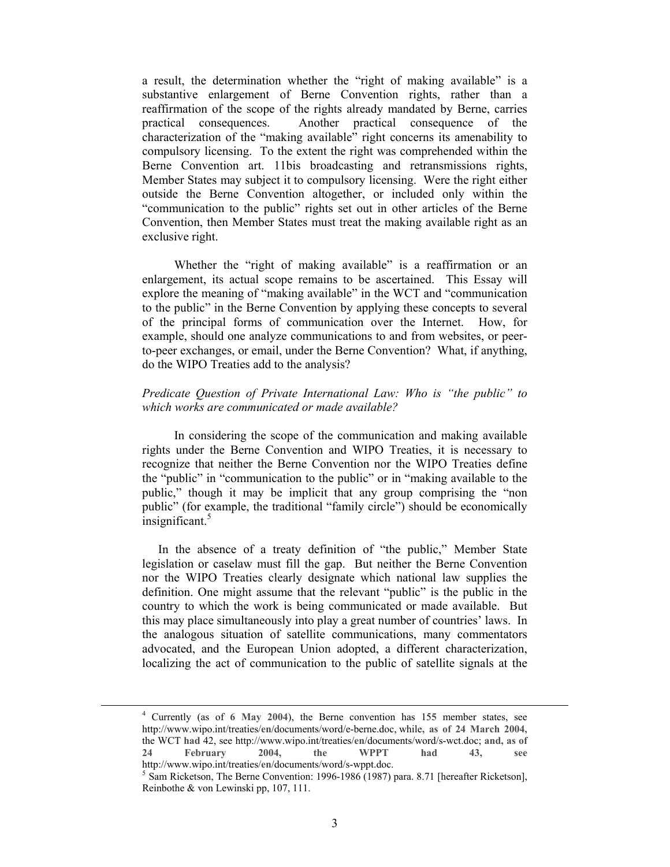a result, the determination whether the "right of making available" is a substantive enlargement of Berne Convention rights, rather than a reaffirmation of the scope of the rights already mandated by Berne, carries practical consequences. Another practical consequence of the characterization of the "making available" right concerns its amenability to compulsory licensing. To the extent the right was comprehended within the Berne Convention art. 11bis broadcasting and retransmissions rights, Member States may subject it to compulsory licensing. Were the right either outside the Berne Convention altogether, or included only within the "communication to the public" rights set out in other articles of the Berne Convention, then Member States must treat the making available right as an exclusive right.

 Whether the "right of making available" is a reaffirmation or an enlargement, its actual scope remains to be ascertained. This Essay will explore the meaning of "making available" in the WCT and "communication to the public" in the Berne Convention by applying these concepts to several of the principal forms of communication over the Internet. How, for example, should one analyze communications to and from websites, or peerto-peer exchanges, or email, under the Berne Convention? What, if anything, do the WIPO Treaties add to the analysis?

### *Predicate Question of Private International Law: Who is "the public" to which works are communicated or made available?*

 In considering the scope of the communication and making available rights under the Berne Convention and WIPO Treaties, it is necessary to recognize that neither the Berne Convention nor the WIPO Treaties define the "public" in "communication to the public" or in "making available to the public," though it may be implicit that any group comprising the "non public" (for example, the traditional "family circle") should be economically insignificant.<sup>5</sup>

In the absence of a treaty definition of "the public," Member State legislation or caselaw must fill the gap. But neither the Berne Convention nor the WIPO Treaties clearly designate which national law supplies the definition. One might assume that the relevant "public" is the public in the country to which the work is being communicated or made available. But this may place simultaneously into play a great number of countries' laws. In the analogous situation of satellite communications, many commentators advocated, and the European Union adopted, a different characterization, localizing the act of communication to the public of satellite signals at the

 <sup>4</sup> Currently (as of **6 May 2004**), the Berne convention has 15**5** member states, see http://www.wipo.int/treaties/**en/**documents/word/e-berne.doc, while**, as of 24 March 2004,** the WCT **had** 42, see http://www.wipo.int/treaties/**en/**documents/word/s-wct.doc; **and, as of 24 February 2004, the WPPT had 43, see**  http://www.wipo.int/treaties/**en/**documents/word/s-wppt.doc. 5 Sam Ricketson, The Berne Convention: 1996-1986 (1987) para. 8.71 [hereafter Ricketson],

Reinbothe & von Lewinski pp, 107, 111.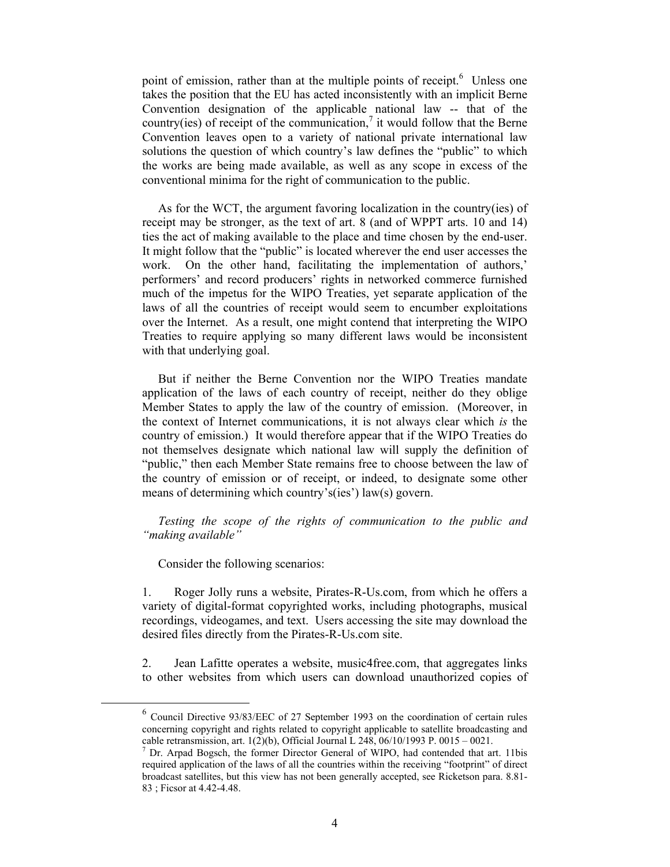point of emission, rather than at the multiple points of receipt.<sup>6</sup> Unless one takes the position that the EU has acted inconsistently with an implicit Berne Convention designation of the applicable national law -- that of the country(ies) of receipt of the communication,<sup>7</sup> it would follow that the Berne Convention leaves open to a variety of national private international law solutions the question of which country's law defines the "public" to which the works are being made available, as well as any scope in excess of the conventional minima for the right of communication to the public.

As for the WCT, the argument favoring localization in the country(ies) of receipt may be stronger, as the text of art. 8 (and of WPPT arts. 10 and 14) ties the act of making available to the place and time chosen by the end-user. It might follow that the "public" is located wherever the end user accesses the work. On the other hand, facilitating the implementation of authors,' performers' and record producers' rights in networked commerce furnished much of the impetus for the WIPO Treaties, yet separate application of the laws of all the countries of receipt would seem to encumber exploitations over the Internet. As a result, one might contend that interpreting the WIPO Treaties to require applying so many different laws would be inconsistent with that underlying goal.

But if neither the Berne Convention nor the WIPO Treaties mandate application of the laws of each country of receipt, neither do they oblige Member States to apply the law of the country of emission. (Moreover, in the context of Internet communications, it is not always clear which *is* the country of emission.) It would therefore appear that if the WIPO Treaties do not themselves designate which national law will supply the definition of "public," then each Member State remains free to choose between the law of the country of emission or of receipt, or indeed, to designate some other means of determining which country's(ies') law(s) govern.

*Testing the scope of the rights of communication to the public and "making available"* 

Consider the following scenarios:

1. Roger Jolly runs a website, Pirates-R-Us.com, from which he offers a variety of digital-format copyrighted works, including photographs, musical recordings, videogames, and text. Users accessing the site may download the desired files directly from the Pirates-R-Us.com site.

2. Jean Lafitte operates a website, music4free.com, that aggregates links to other websites from which users can download unauthorized copies of

 <sup>6</sup> Council Directive 93/83/EEC of 27 September 1993 on the coordination of certain rules concerning copyright and rights related to copyright applicable to satellite broadcasting and cable retransmission, art. 1(2)(b), Official Journal L 248, 06/10/1993 P. 0015 – 0021.

<sup>&</sup>lt;sup>7</sup> Dr. Arpad Bogsch, the former Director General of WIPO, had contended that art. 11bis required application of the laws of all the countries within the receiving "footprint" of direct broadcast satellites, but this view has not been generally accepted, see Ricketson para. 8.81- 83 ; Ficsor at 4.42-4.48.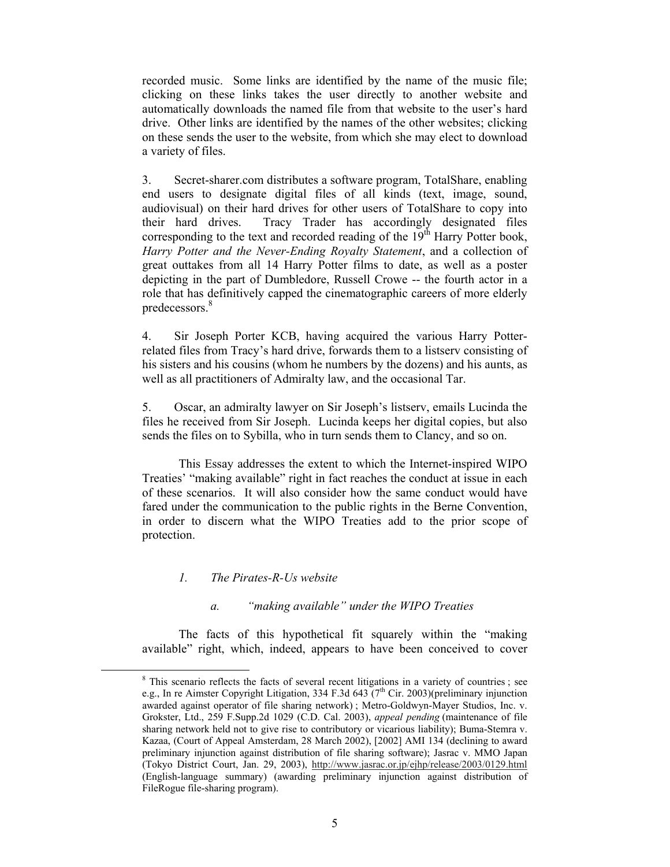recorded music. Some links are identified by the name of the music file; clicking on these links takes the user directly to another website and automatically downloads the named file from that website to the user's hard drive. Other links are identified by the names of the other websites; clicking on these sends the user to the website, from which she may elect to download a variety of files.

3. Secret-sharer.com distributes a software program, TotalShare, enabling end users to designate digital files of all kinds (text, image, sound, audiovisual) on their hard drives for other users of TotalShare to copy into their hard drives. Tracy Trader has accordingly designated files corresponding to the text and recorded reading of the  $19<sup>th</sup>$  Harry Potter book, *Harry Potter and the Never-Ending Royalty Statement*, and a collection of great outtakes from all 14 Harry Potter films to date, as well as a poster depicting in the part of Dumbledore, Russell Crowe -- the fourth actor in a role that has definitively capped the cinematographic careers of more elderly predecessors.<sup>8</sup>

4. Sir Joseph Porter KCB, having acquired the various Harry Potterrelated files from Tracy's hard drive, forwards them to a listserv consisting of his sisters and his cousins (whom he numbers by the dozens) and his aunts, as well as all practitioners of Admiralty law, and the occasional Tar.

5. Oscar, an admiralty lawyer on Sir Joseph's listserv, emails Lucinda the files he received from Sir Joseph. Lucinda keeps her digital copies, but also sends the files on to Sybilla, who in turn sends them to Clancy, and so on.

This Essay addresses the extent to which the Internet-inspired WIPO Treaties' "making available" right in fact reaches the conduct at issue in each of these scenarios. It will also consider how the same conduct would have fared under the communication to the public rights in the Berne Convention, in order to discern what the WIPO Treaties add to the prior scope of protection.

#### *1. The Pirates-R-Us website*

#### *a. "making available" under the WIPO Treaties*

The facts of this hypothetical fit squarely within the "making available" right, which, indeed, appears to have been conceived to cover

 <sup>8</sup> <sup>8</sup> This scenario reflects the facts of several recent litigations in a variety of countries; see e.g., In re Aimster Copyright Litigation, 334 F.3d 643 (7<sup>th</sup> Cir. 2003)(preliminary injunction awarded against operator of file sharing network) ; Metro-Goldwyn-Mayer Studios, Inc. v. Grokster, Ltd., 259 F.Supp.2d 1029 (C.D. Cal. 2003), *appeal pending* (maintenance of file sharing network held not to give rise to contributory or vicarious liability); Buma-Stemra v. Kazaa, (Court of Appeal Amsterdam, 28 March 2002), [2002] AMI 134 (declining to award preliminary injunction against distribution of file sharing software); Jasrac v. MMO Japan (Tokyo District Court, Jan. 29, 2003), http://www.jasrac.or.jp/ejhp/release/2003/0129.html (English-language summary) (awarding preliminary injunction against distribution of FileRogue file-sharing program).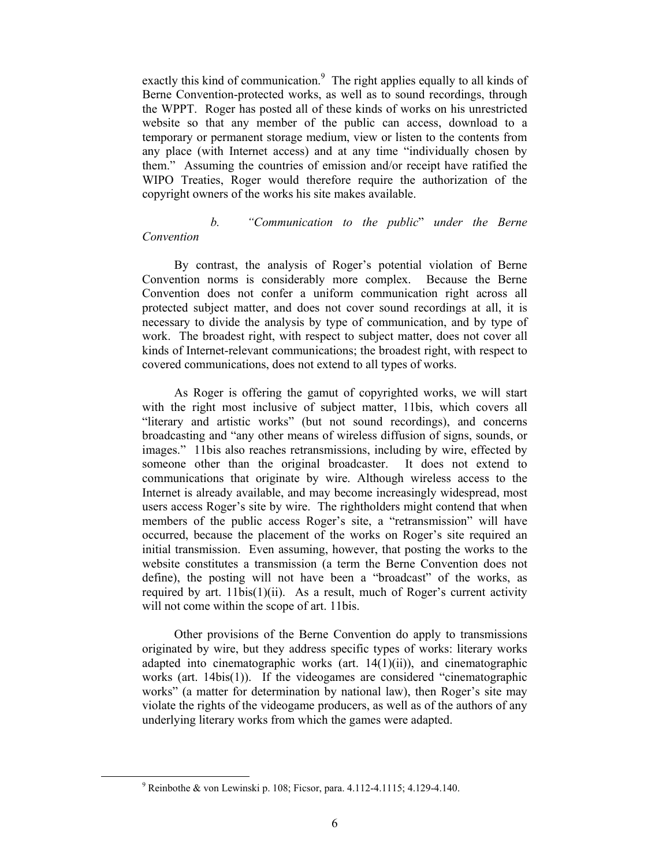exactly this kind of communication. $9$  The right applies equally to all kinds of Berne Convention-protected works, as well as to sound recordings, through the WPPT. Roger has posted all of these kinds of works on his unrestricted website so that any member of the public can access, download to a temporary or permanent storage medium, view or listen to the contents from any place (with Internet access) and at any time "individually chosen by them." Assuming the countries of emission and/or receipt have ratified the WIPO Treaties, Roger would therefore require the authorization of the copyright owners of the works his site makes available.

#### *b. "Communication to the public*" *under the Berne Convention*

By contrast, the analysis of Roger's potential violation of Berne Convention norms is considerably more complex. Because the Berne Convention does not confer a uniform communication right across all protected subject matter, and does not cover sound recordings at all, it is necessary to divide the analysis by type of communication, and by type of work. The broadest right, with respect to subject matter, does not cover all kinds of Internet-relevant communications; the broadest right, with respect to covered communications, does not extend to all types of works.

As Roger is offering the gamut of copyrighted works, we will start with the right most inclusive of subject matter, 11bis, which covers all "literary and artistic works" (but not sound recordings), and concerns broadcasting and "any other means of wireless diffusion of signs, sounds, or images." 11bis also reaches retransmissions, including by wire, effected by someone other than the original broadcaster. It does not extend to communications that originate by wire. Although wireless access to the Internet is already available, and may become increasingly widespread, most users access Roger's site by wire. The rightholders might contend that when members of the public access Roger's site, a "retransmission" will have occurred, because the placement of the works on Roger's site required an initial transmission. Even assuming, however, that posting the works to the website constitutes a transmission (a term the Berne Convention does not define), the posting will not have been a "broadcast" of the works, as required by art.  $11bis(1)(ii)$ . As a result, much of Roger's current activity will not come within the scope of art. 11bis.

 Other provisions of the Berne Convention do apply to transmissions originated by wire, but they address specific types of works: literary works adapted into cinematographic works (art.  $14(1)(ii)$ ), and cinematographic works (art. 14bis(1)). If the videogames are considered "cinematographic works" (a matter for determination by national law), then Roger's site may violate the rights of the videogame producers, as well as of the authors of any underlying literary works from which the games were adapted.

 <sup>9</sup>  $9^9$  Reinbothe & von Lewinski p. 108; Ficsor, para. 4.112-4.1115; 4.129-4.140.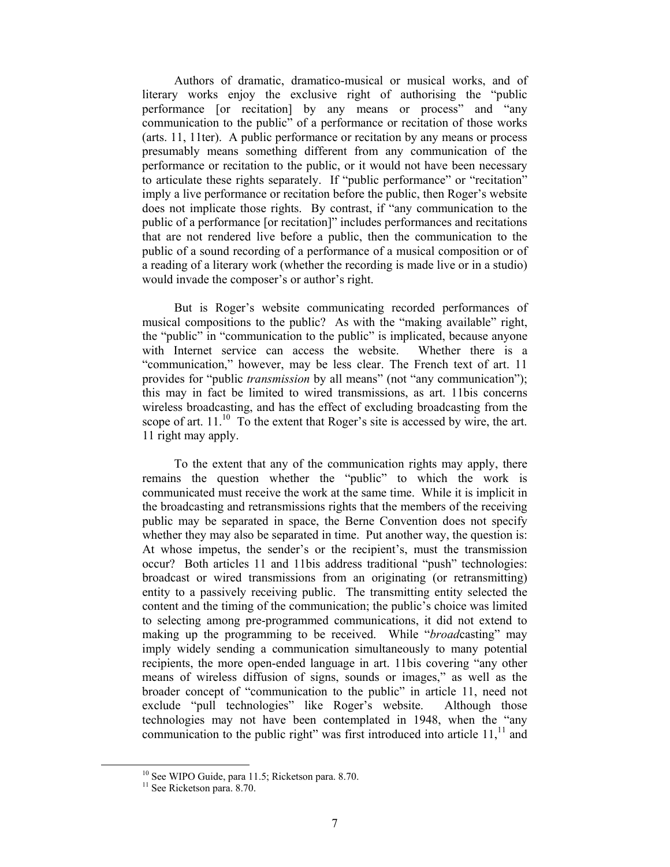Authors of dramatic, dramatico-musical or musical works, and of literary works enjoy the exclusive right of authorising the "public performance [or recitation] by any means or process" and "any communication to the public" of a performance or recitation of those works (arts. 11, 11ter). A public performance or recitation by any means or process presumably means something different from any communication of the performance or recitation to the public, or it would not have been necessary to articulate these rights separately. If "public performance" or "recitation" imply a live performance or recitation before the public, then Roger's website does not implicate those rights. By contrast, if "any communication to the public of a performance [or recitation]" includes performances and recitations that are not rendered live before a public, then the communication to the public of a sound recording of a performance of a musical composition or of a reading of a literary work (whether the recording is made live or in a studio) would invade the composer's or author's right.

But is Roger's website communicating recorded performances of musical compositions to the public? As with the "making available" right, the "public" in "communication to the public" is implicated, because anyone with Internet service can access the website. Whether there is a "communication," however, may be less clear. The French text of art. 11 provides for "public *transmission* by all means" (not "any communication"); this may in fact be limited to wired transmissions, as art. 11bis concerns wireless broadcasting, and has the effect of excluding broadcasting from the scope of art.  $11^{10}$  To the extent that Roger's site is accessed by wire, the art. 11 right may apply.

To the extent that any of the communication rights may apply, there remains the question whether the "public" to which the work is communicated must receive the work at the same time. While it is implicit in the broadcasting and retransmissions rights that the members of the receiving public may be separated in space, the Berne Convention does not specify whether they may also be separated in time. Put another way, the question is: At whose impetus, the sender's or the recipient's, must the transmission occur? Both articles 11 and 11bis address traditional "push" technologies: broadcast or wired transmissions from an originating (or retransmitting) entity to a passively receiving public. The transmitting entity selected the content and the timing of the communication; the public's choice was limited to selecting among pre-programmed communications, it did not extend to making up the programming to be received. While "*broad*casting" may imply widely sending a communication simultaneously to many potential recipients, the more open-ended language in art. 11bis covering "any other means of wireless diffusion of signs, sounds or images," as well as the broader concept of "communication to the public" in article 11, need not exclude "pull technologies" like Roger's website. Although those technologies may not have been contemplated in 1948, when the "any communication to the public right" was first introduced into article  $11$ , $^{11}$  and

<sup>&</sup>lt;sup>10</sup> See WIPO Guide, para 11.5; Ricketson para. 8.70.

<sup>&</sup>lt;sup>11</sup> See Ricketson para. 8.70.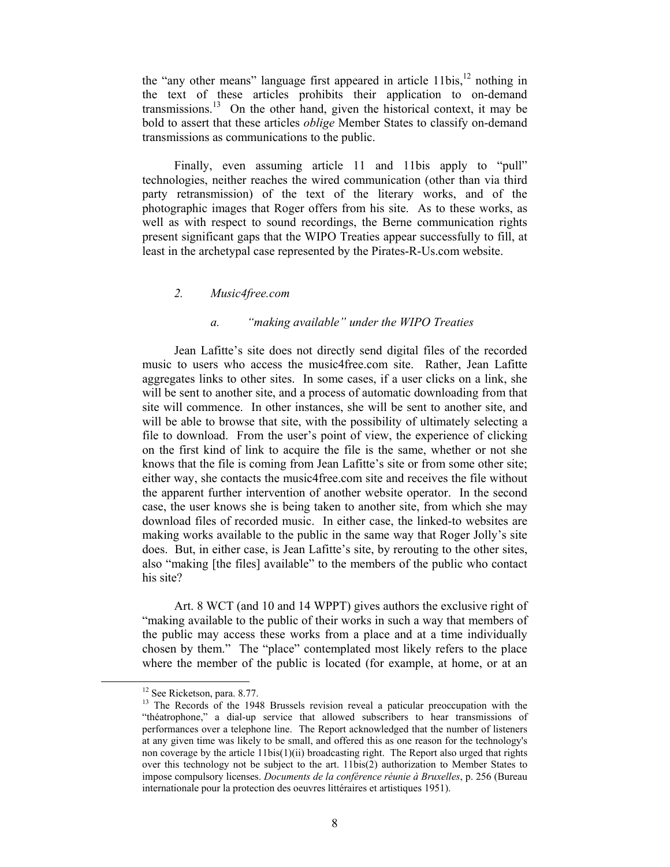the "any other means" language first appeared in article  $11 \text{bis}$ ,  $12$  nothing in the text of these articles prohibits their application to on-demand transmissions.<sup>13</sup> On the other hand, given the historical context, it may be bold to assert that these articles *oblige* Member States to classify on-demand transmissions as communications to the public.

Finally, even assuming article 11 and 11bis apply to "pull" technologies, neither reaches the wired communication (other than via third party retransmission) of the text of the literary works, and of the photographic images that Roger offers from his site. As to these works, as well as with respect to sound recordings, the Berne communication rights present significant gaps that the WIPO Treaties appear successfully to fill, at least in the archetypal case represented by the Pirates-R-Us.com website.

#### *2. Music4free.com*

#### *a. "making available" under the WIPO Treaties*

 Jean Lafitte's site does not directly send digital files of the recorded music to users who access the music4free.com site. Rather, Jean Lafitte aggregates links to other sites. In some cases, if a user clicks on a link, she will be sent to another site, and a process of automatic downloading from that site will commence. In other instances, she will be sent to another site, and will be able to browse that site, with the possibility of ultimately selecting a file to download. From the user's point of view, the experience of clicking on the first kind of link to acquire the file is the same, whether or not she knows that the file is coming from Jean Lafitte's site or from some other site; either way, she contacts the music4free.com site and receives the file without the apparent further intervention of another website operator. In the second case, the user knows she is being taken to another site, from which she may download files of recorded music. In either case, the linked-to websites are making works available to the public in the same way that Roger Jolly's site does. But, in either case, is Jean Lafitte's site, by rerouting to the other sites, also "making [the files] available" to the members of the public who contact his site?

 Art. 8 WCT (and 10 and 14 WPPT) gives authors the exclusive right of "making available to the public of their works in such a way that members of the public may access these works from a place and at a time individually chosen by them." The "place" contemplated most likely refers to the place where the member of the public is located (for example, at home, or at an

<sup>&</sup>lt;sup>12</sup> See Ricketson, para. 8.77.

<sup>&</sup>lt;sup>13</sup> The Records of the 1948 Brussels revision reveal a paticular preoccupation with the "théatrophone," a dial-up service that allowed subscribers to hear transmissions of performances over a telephone line. The Report acknowledged that the number of listeners at any given time was likely to be small, and offered this as one reason for the technology's non coverage by the article 11bis(1)(ii) broadcasting right. The Report also urged that rights over this technology not be subject to the art. 11bis(2) authorization to Member States to impose compulsory licenses. *Documents de la conférence réunie à Bruxelles*, p. 256 (Bureau internationale pour la protection des oeuvres littéraires et artistiques 1951).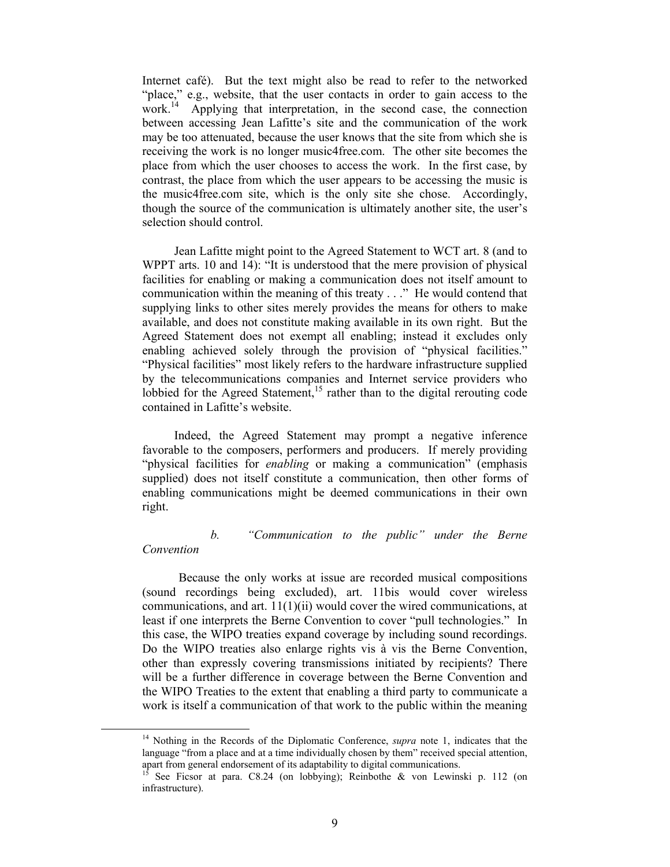Internet café). But the text might also be read to refer to the networked "place," e.g., website, that the user contacts in order to gain access to the work.<sup>14</sup> Applying that interpretation, in the second case, the connection between accessing Jean Lafitte's site and the communication of the work may be too attenuated, because the user knows that the site from which she is receiving the work is no longer music4free.com. The other site becomes the place from which the user chooses to access the work. In the first case, by contrast, the place from which the user appears to be accessing the music is the music4free.com site, which is the only site she chose. Accordingly, though the source of the communication is ultimately another site, the user's selection should control.

 Jean Lafitte might point to the Agreed Statement to WCT art. 8 (and to WPPT arts. 10 and 14): "It is understood that the mere provision of physical facilities for enabling or making a communication does not itself amount to communication within the meaning of this treaty . . ." He would contend that supplying links to other sites merely provides the means for others to make available, and does not constitute making available in its own right. But the Agreed Statement does not exempt all enabling; instead it excludes only enabling achieved solely through the provision of "physical facilities." "Physical facilities" most likely refers to the hardware infrastructure supplied by the telecommunications companies and Internet service providers who lobbied for the Agreed Statement, $15$  rather than to the digital rerouting code contained in Lafitte's website.

 Indeed, the Agreed Statement may prompt a negative inference favorable to the composers, performers and producers. If merely providing "physical facilities for *enabling* or making a communication" (emphasis supplied) does not itself constitute a communication, then other forms of enabling communications might be deemed communications in their own right.

#### *b. "Communication to the public" under the Berne Convention*

Because the only works at issue are recorded musical compositions (sound recordings being excluded), art. 11bis would cover wireless communications, and art. 11(1)(ii) would cover the wired communications, at least if one interprets the Berne Convention to cover "pull technologies." In this case, the WIPO treaties expand coverage by including sound recordings. Do the WIPO treaties also enlarge rights vis à vis the Berne Convention, other than expressly covering transmissions initiated by recipients? There will be a further difference in coverage between the Berne Convention and the WIPO Treaties to the extent that enabling a third party to communicate a work is itself a communication of that work to the public within the meaning

<sup>&</sup>lt;sup>14</sup> Nothing in the Records of the Diplomatic Conference, *supra* note 1, indicates that the language "from a place and at a time individually chosen by them" received special attention, apart from general endorsement of its adaptability to digital communications.

See Ficsor at para. C8.24 (on lobbying); Reinbothe & von Lewinski p. 112 (on infrastructure).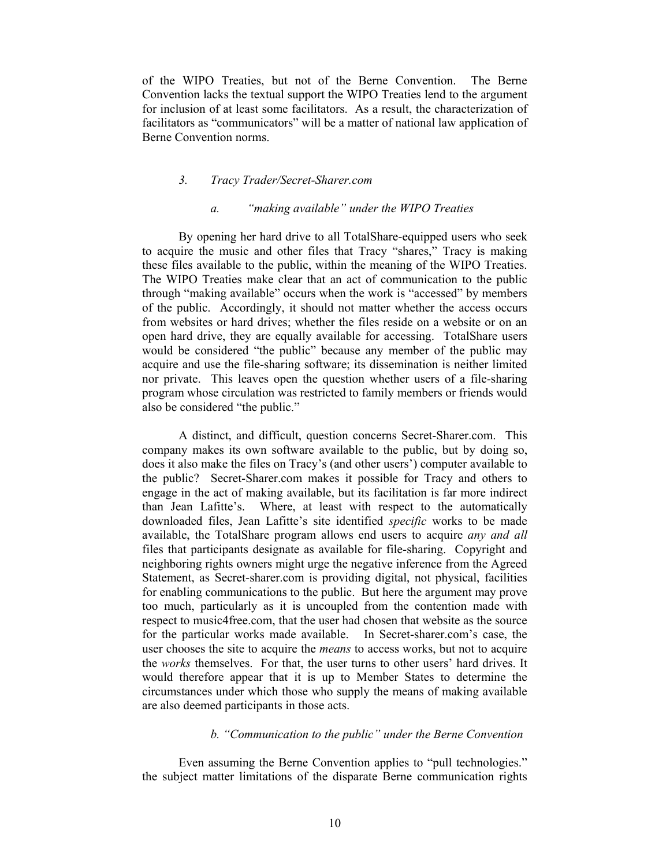of the WIPO Treaties, but not of the Berne Convention. The Berne Convention lacks the textual support the WIPO Treaties lend to the argument for inclusion of at least some facilitators. As a result, the characterization of facilitators as "communicators" will be a matter of national law application of Berne Convention norms.

#### *3. Tracy Trader/Secret-Sharer.com*

### *a. "making available" under the WIPO Treaties*

By opening her hard drive to all TotalShare-equipped users who seek to acquire the music and other files that Tracy "shares," Tracy is making these files available to the public, within the meaning of the WIPO Treaties. The WIPO Treaties make clear that an act of communication to the public through "making available" occurs when the work is "accessed" by members of the public. Accordingly, it should not matter whether the access occurs from websites or hard drives; whether the files reside on a website or on an open hard drive, they are equally available for accessing. TotalShare users would be considered "the public" because any member of the public may acquire and use the file-sharing software; its dissemination is neither limited nor private. This leaves open the question whether users of a file-sharing program whose circulation was restricted to family members or friends would also be considered "the public."

A distinct, and difficult, question concerns Secret-Sharer.com. This company makes its own software available to the public, but by doing so, does it also make the files on Tracy's (and other users') computer available to the public? Secret-Sharer.com makes it possible for Tracy and others to engage in the act of making available, but its facilitation is far more indirect than Jean Lafitte's. Where, at least with respect to the automatically downloaded files, Jean Lafitte's site identified *specific* works to be made available, the TotalShare program allows end users to acquire *any and all* files that participants designate as available for file-sharing. Copyright and neighboring rights owners might urge the negative inference from the Agreed Statement, as Secret-sharer.com is providing digital, not physical, facilities for enabling communications to the public. But here the argument may prove too much, particularly as it is uncoupled from the contention made with respect to music4free.com, that the user had chosen that website as the source for the particular works made available. In Secret-sharer.com's case, the user chooses the site to acquire the *means* to access works, but not to acquire the *works* themselves. For that, the user turns to other users' hard drives. It would therefore appear that it is up to Member States to determine the circumstances under which those who supply the means of making available are also deemed participants in those acts.

#### *b. "Communication to the public" under the Berne Convention*

Even assuming the Berne Convention applies to "pull technologies." the subject matter limitations of the disparate Berne communication rights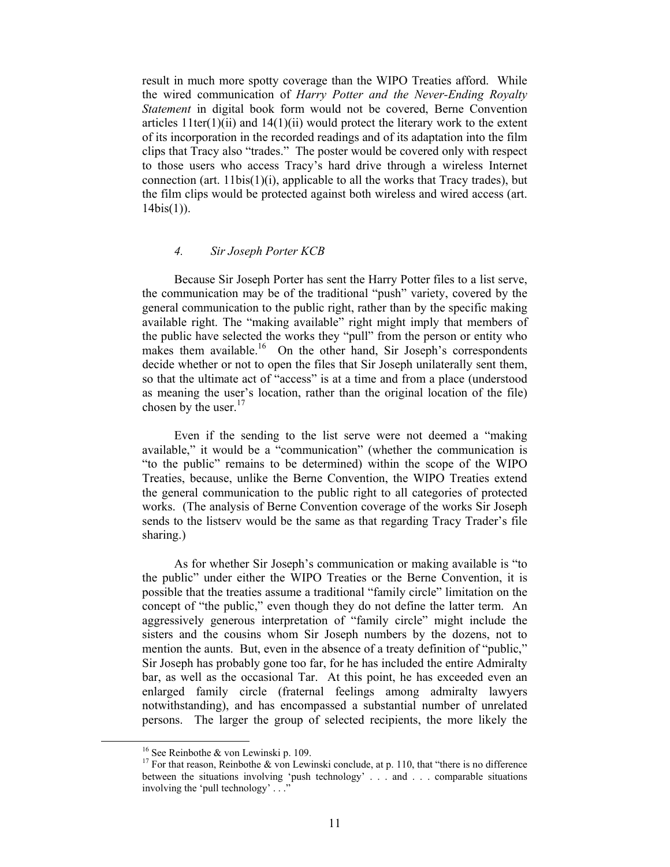result in much more spotty coverage than the WIPO Treaties afford. While the wired communication of *Harry Potter and the Never-Ending Royalty Statement* in digital book form would not be covered, Berne Convention articles  $11 \text{ter}(1)(ii)$  and  $14(1)(ii)$  would protect the literary work to the extent of its incorporation in the recorded readings and of its adaptation into the film clips that Tracy also "trades." The poster would be covered only with respect to those users who access Tracy's hard drive through a wireless Internet connection (art. 11bis(1)(i), applicable to all the works that Tracy trades), but the film clips would be protected against both wireless and wired access (art.  $14bis(1)$ ).

#### *4. Sir Joseph Porter KCB*

 Because Sir Joseph Porter has sent the Harry Potter files to a list serve, the communication may be of the traditional "push" variety, covered by the general communication to the public right, rather than by the specific making available right. The "making available" right might imply that members of the public have selected the works they "pull" from the person or entity who makes them available.<sup>16</sup> On the other hand, Sir Joseph's correspondents decide whether or not to open the files that Sir Joseph unilaterally sent them, so that the ultimate act of "access" is at a time and from a place (understood as meaning the user's location, rather than the original location of the file) chosen by the user. $17$ 

Even if the sending to the list serve were not deemed a "making available," it would be a "communication" (whether the communication is "to the public" remains to be determined) within the scope of the WIPO Treaties, because, unlike the Berne Convention, the WIPO Treaties extend the general communication to the public right to all categories of protected works. (The analysis of Berne Convention coverage of the works Sir Joseph sends to the listserv would be the same as that regarding Tracy Trader's file sharing.)

As for whether Sir Joseph's communication or making available is "to the public" under either the WIPO Treaties or the Berne Convention, it is possible that the treaties assume a traditional "family circle" limitation on the concept of "the public," even though they do not define the latter term. An aggressively generous interpretation of "family circle" might include the sisters and the cousins whom Sir Joseph numbers by the dozens, not to mention the aunts. But, even in the absence of a treaty definition of "public," Sir Joseph has probably gone too far, for he has included the entire Admiralty bar, as well as the occasional Tar. At this point, he has exceeded even an enlarged family circle (fraternal feelings among admiralty lawyers notwithstanding), and has encompassed a substantial number of unrelated persons. The larger the group of selected recipients, the more likely the

 <sup>16</sup> See Reinbothe & von Lewinski p. 109.

<sup>&</sup>lt;sup>17</sup> For that reason, Reinbothe & von Lewinski conclude, at p. 110, that "there is no difference between the situations involving 'push technology' . . . and . . . comparable situations involving the 'pull technology'  $\ldots$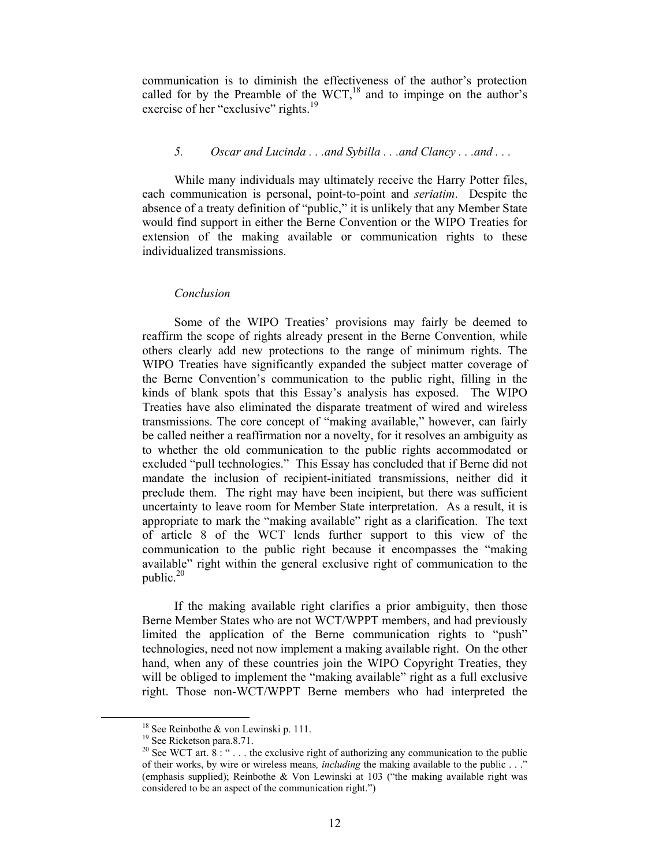communication is to diminish the effectiveness of the author's protection called for by the Preamble of the WCT, $^{18}$  and to impinge on the author's exercise of her "exclusive" rights.<sup>19</sup>

#### *5. Oscar and Lucinda . . .and Sybilla . . .and Clancy . . .and . . .*

While many individuals may ultimately receive the Harry Potter files, each communication is personal, point-to-point and *seriatim*. Despite the absence of a treaty definition of "public," it is unlikely that any Member State would find support in either the Berne Convention or the WIPO Treaties for extension of the making available or communication rights to these individualized transmissions.

#### *Conclusion*

Some of the WIPO Treaties' provisions may fairly be deemed to reaffirm the scope of rights already present in the Berne Convention, while others clearly add new protections to the range of minimum rights. The WIPO Treaties have significantly expanded the subject matter coverage of the Berne Convention's communication to the public right, filling in the kinds of blank spots that this Essay's analysis has exposed. The WIPO Treaties have also eliminated the disparate treatment of wired and wireless transmissions. The core concept of "making available," however, can fairly be called neither a reaffirmation nor a novelty, for it resolves an ambiguity as to whether the old communication to the public rights accommodated or excluded "pull technologies." This Essay has concluded that if Berne did not mandate the inclusion of recipient-initiated transmissions, neither did it preclude them. The right may have been incipient, but there was sufficient uncertainty to leave room for Member State interpretation. As a result, it is appropriate to mark the "making available" right as a clarification. The text of article 8 of the WCT lends further support to this view of the communication to the public right because it encompasses the "making available" right within the general exclusive right of communication to the public.<sup>20</sup>

If the making available right clarifies a prior ambiguity, then those Berne Member States who are not WCT/WPPT members, and had previously limited the application of the Berne communication rights to "push" technologies, need not now implement a making available right. On the other hand, when any of these countries join the WIPO Copyright Treaties, they will be obliged to implement the "making available" right as a full exclusive right. Those non-WCT/WPPT Berne members who had interpreted the

 <sup>18</sup> See Reinbothe & von Lewinski p. 111.

<sup>&</sup>lt;sup>19</sup> See Ricketson para.8.71.

<sup>&</sup>lt;sup>20</sup> See WCT art.  $\dot{8}$ : " . . . the exclusive right of authorizing any communication to the public of their works, by wire or wireless means*, including* the making available to the public . . ." (emphasis supplied); Reinbothe & Von Lewinski at 103 ("the making available right was considered to be an aspect of the communication right.")